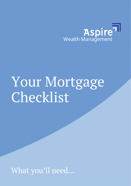

## Your Mortgage Checklist

What you'll need...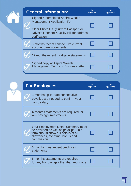| <b>General Information:</b>                                                                                                                                                     | 1st<br><b>Applicant</b> | 2nd<br><b>Applicant</b> |
|---------------------------------------------------------------------------------------------------------------------------------------------------------------------------------|-------------------------|-------------------------|
| Signed & completed Aspire Wealth<br><b>Management Application Form</b><br>Clear Photo I.D. (Current Passport or<br>Driver's License) & Utility Bill for address<br>verification |                         |                         |
| 6 months recent consecutive current<br>account bank statements                                                                                                                  |                         |                         |
| 12 months recent mortgage statements                                                                                                                                            |                         |                         |
| Signed copy of Aspire Wealth<br>Management Terms of Business letter                                                                                                             |                         |                         |
|                                                                                                                                                                                 |                         |                         |

| <b>For Employees:</b>                                                                                                                                                 | 1st<br><b>Applicant</b> | 2 <sub>nd</sub><br><b>Applicant</b> |
|-----------------------------------------------------------------------------------------------------------------------------------------------------------------------|-------------------------|-------------------------------------|
| 3 months up-to-date consecutive<br>payslips are needed to confirm your<br>basic salary                                                                                |                         |                                     |
| 6 months statements are required for<br>any savings/investments                                                                                                       |                         |                                     |
| Your Employment Detail Summary must<br>be provided as well as payslips. This<br>form should show full details of all<br>allowances, overtime, bonus and<br>commission |                         |                                     |
| 6 months most recent credit card<br>statements                                                                                                                        |                         |                                     |
| 6 months statements are required<br>for any borrowings other than mortgage                                                                                            |                         |                                     |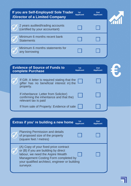| If you are Self-Employed/ Sole Trader<br>/Director of a Limited Company | 1st<br><b>Applicant</b> | 2 <sub>nd</sub><br><b>Applicant</b> |  |
|-------------------------------------------------------------------------|-------------------------|-------------------------------------|--|
| 2 years audited/trading accounts<br>(certified by your accountant)      |                         |                                     |  |
| Minimum 6 months recent bank<br><b>Statements</b>                       |                         |                                     |  |
| Minimum 6 months statements for<br>any borrowing                        |                         |                                     |  |

| <b>Evidence of Source of Funds to</b><br>complete Purchase                                                 | 1st<br><b>Applicant</b> | 2 <sub>nd</sub><br><b>Applicant</b> |
|------------------------------------------------------------------------------------------------------------|-------------------------|-------------------------------------|
| If Gift: A letter is required stating that the<br>gifter has no beneficial interest in) the<br>property.   |                         |                                     |
| If inheritance: Letter from Solicitor)<br>confirming the inheritance and that the)<br>relevant tax is paid |                         |                                     |
| If from sale of Property: Evidence of sale                                                                 |                         |                                     |

| 1st<br>Extras if you' re building a new home<br><b>Applicant</b>                                                                                                                                                          | 2nd<br><b>Applicant</b> |
|---------------------------------------------------------------------------------------------------------------------------------------------------------------------------------------------------------------------------|-------------------------|
| <b>Planning Permission and details</b><br>of proposed size of the property<br>(square feet / metres)                                                                                                                      |                         |
| (A) Copy of your fixed price contract<br>or (B) if you are building by direct<br>labour, we need the Aspire Wealth<br>Management Costing Form completed by<br>your qualified architect, engineer or building<br>surveyor. |                         |